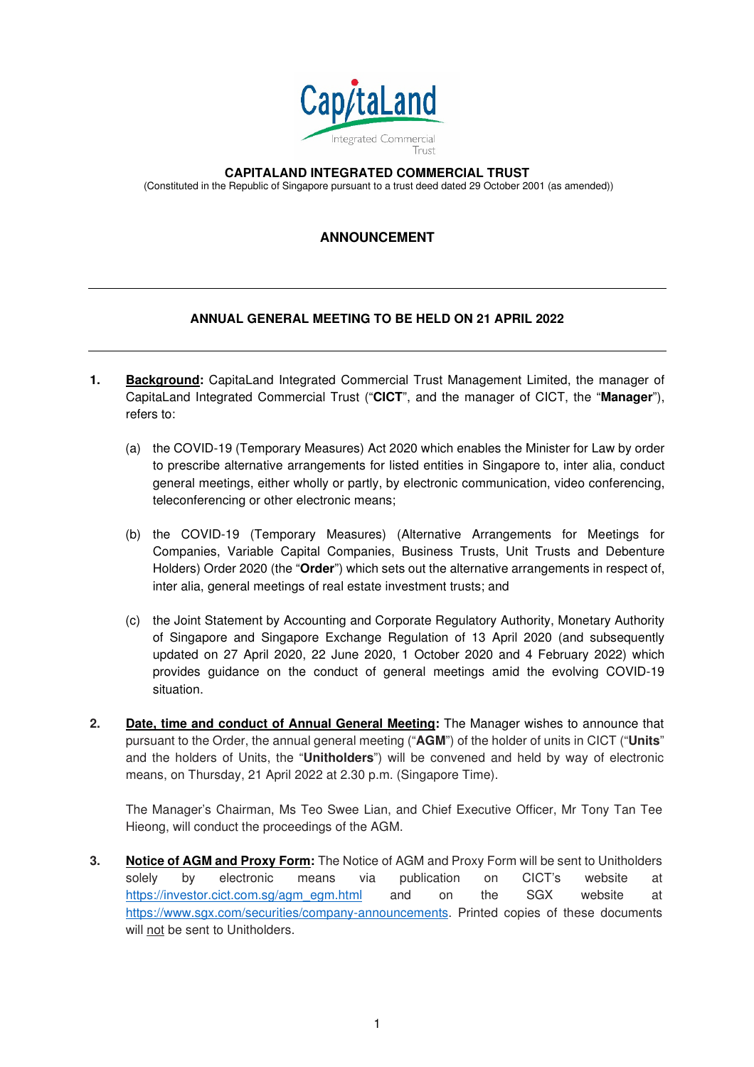

**CAPITALAND INTEGRATED COMMERCIAL TRUST** 

(Constituted in the Republic of Singapore pursuant to a trust deed dated 29 October 2001 (as amended))

## **ANNOUNCEMENT**

## **ANNUAL GENERAL MEETING TO BE HELD ON 21 APRIL 2022**

- **1. Background:** CapitaLand Integrated Commercial Trust Management Limited, the manager of CapitaLand Integrated Commercial Trust ("**CICT**", and the manager of CICT, the "**Manager**"), refers to:
	- (a) the COVID-19 (Temporary Measures) Act 2020 which enables the Minister for Law by order to prescribe alternative arrangements for listed entities in Singapore to, inter alia, conduct general meetings, either wholly or partly, by electronic communication, video conferencing, teleconferencing or other electronic means;
	- (b) the COVID-19 (Temporary Measures) (Alternative Arrangements for Meetings for Companies, Variable Capital Companies, Business Trusts, Unit Trusts and Debenture Holders) Order 2020 (the "**Order**") which sets out the alternative arrangements in respect of, inter alia, general meetings of real estate investment trusts; and
	- (c) the Joint Statement by Accounting and Corporate Regulatory Authority, Monetary Authority of Singapore and Singapore Exchange Regulation of 13 April 2020 (and subsequently updated on 27 April 2020, 22 June 2020, 1 October 2020 and 4 February 2022) which provides guidance on the conduct of general meetings amid the evolving COVID-19 situation.
- **2. Date, time and conduct of Annual General Meeting:** The Manager wishes to announce that pursuant to the Order, the annual general meeting ("**AGM**") of the holder of units in CICT ("**Units**" and the holders of Units, the "**Unitholders**") will be convened and held by way of electronic means, on Thursday, 21 April 2022 at 2.30 p.m. (Singapore Time).

The Manager's Chairman, Ms Teo Swee Lian, and Chief Executive Officer, Mr Tony Tan Tee Hieong, will conduct the proceedings of the AGM.

**3. Notice of AGM and Proxy Form:** The Notice of AGM and Proxy Form will be sent to Unitholders solely by electronic means via publication on CICT's website at https://investor.cict.com.sg/agm\_egm.html and on the SGX website at https://www.sgx.com/securities/company-announcements. Printed copies of these documents will not be sent to Unitholders.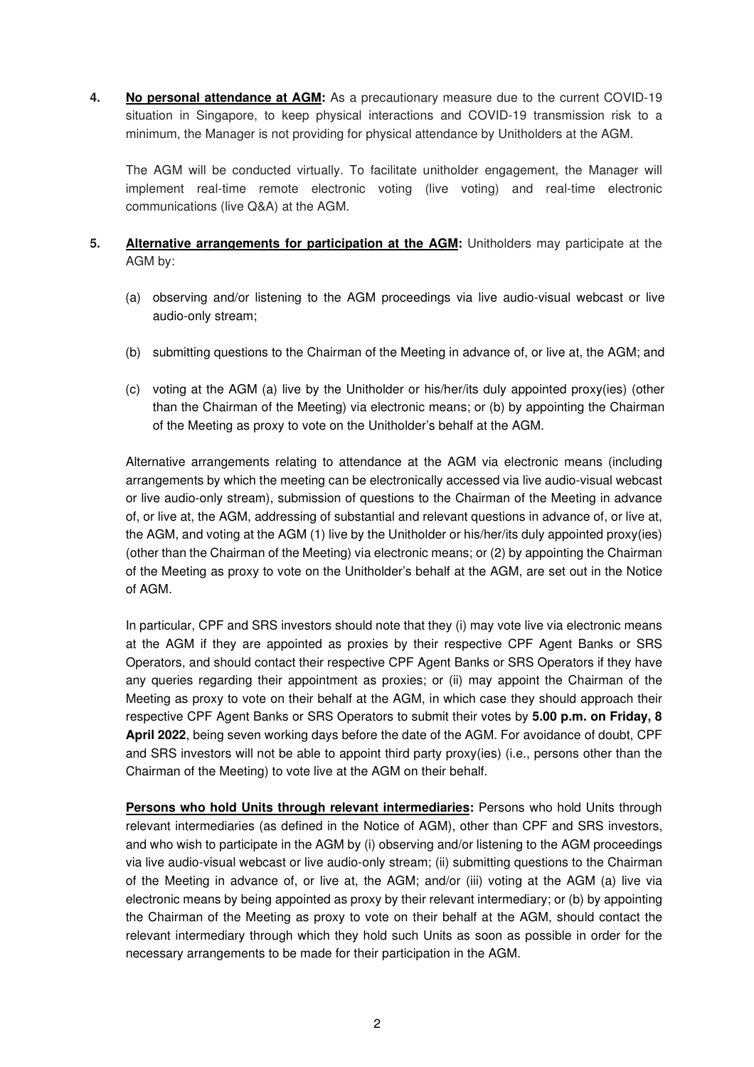**4. No personal attendance at AGM:** As a precautionary measure due to the current COVID-19 situation in Singapore, to keep physical interactions and COVID-19 transmission risk to a minimum, the Manager is not providing for physical attendance by Unitholders at the AGM.

The AGM will be conducted virtually. To facilitate unitholder engagement, the Manager will implement real-time remote electronic voting (live voting) and real-time electronic communications (live Q&A) at the AGM.

## **5.** Alternative arrangements for participation at the AGM: Unitholders may participate at the AGM by:

- (a) observing and/or listening to the AGM proceedings via live audio-visual webcast or live audio-only stream;
- (b) submitting questions to the Chairman of the Meeting in advance of, or live at, the AGM; and
- (c) voting at the AGM (a) live by the Unitholder or his/her/its duly appointed proxy(ies) (other than the Chairman of the Meeting) via electronic means; or (b) by appointing the Chairman of the Meeting as proxy to vote on the Unitholder's behalf at the AGM.

Alternative arrangements relating to attendance at the AGM via electronic means (including arrangements by which the meeting can be electronically accessed via live audio-visual webcast or live audio-only stream), submission of questions to the Chairman of the Meeting in advance of, or live at, the AGM, addressing of substantial and relevant questions in advance of, or live at, the AGM, and voting at the AGM (1) live by the Unitholder or his/her/its duly appointed proxy(ies) (other than the Chairman of the Meeting) via electronic means; or (2) by appointing the Chairman of the Meeting as proxy to vote on the Unitholder's behalf at the AGM, are set out in the Notice of AGM.

In particular, CPF and SRS investors should note that they (i) may vote live via electronic means at the AGM if they are appointed as proxies by their respective CPF Agent Banks or SRS Operators, and should contact their respective CPF Agent Banks or SRS Operators if they have any queries regarding their appointment as proxies; or (ii) may appoint the Chairman of the Meeting as proxy to vote on their behalf at the AGM, in which case they should approach their respective CPF Agent Banks or SRS Operators to submit their votes by **5.00 p.m. on Friday, 8 April 2022**, being seven working days before the date of the AGM. For avoidance of doubt, CPF and SRS investors will not be able to appoint third party proxy(ies) (i.e., persons other than the Chairman of the Meeting) to vote live at the AGM on their behalf.

**Persons who hold Units through relevant intermediaries:** Persons who hold Units through relevant intermediaries (as defined in the Notice of AGM), other than CPF and SRS investors, and who wish to participate in the AGM by (i) observing and/or listening to the AGM proceedings via live audio-visual webcast or live audio-only stream; (ii) submitting questions to the Chairman of the Meeting in advance of, or live at, the AGM; and/or (iii) voting at the AGM (a) live via electronic means by being appointed as proxy by their relevant intermediary; or (b) by appointing the Chairman of the Meeting as proxy to vote on their behalf at the AGM, should contact the relevant intermediary through which they hold such Units as soon as possible in order for the necessary arrangements to be made for their participation in the AGM.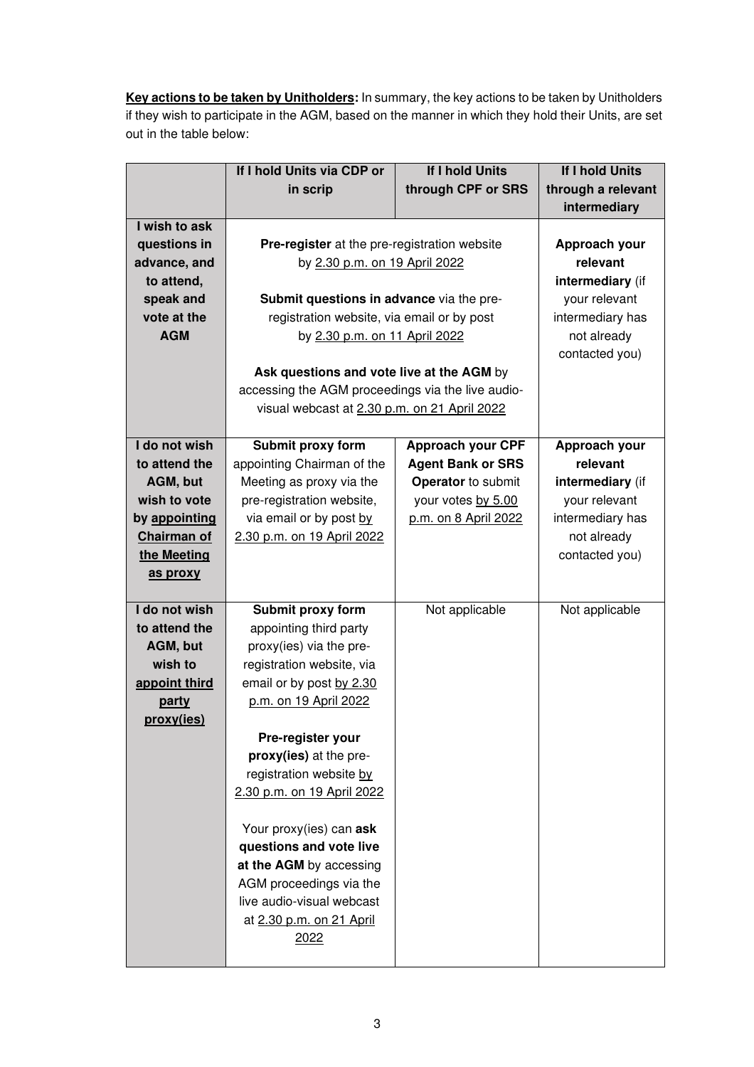**Key actions to be taken by Unitholders:** In summary, the key actions to be taken by Unitholders if they wish to participate in the AGM, based on the manner in which they hold their Units, are set out in the table below:

|               | If I hold Units via CDP or                        | If I hold Units          | If I hold Units    |
|---------------|---------------------------------------------------|--------------------------|--------------------|
|               | in scrip                                          | through CPF or SRS       | through a relevant |
|               |                                                   |                          | intermediary       |
| I wish to ask |                                                   |                          |                    |
| questions in  | Pre-register at the pre-registration website      |                          | Approach your      |
| advance, and  | by 2.30 p.m. on 19 April 2022                     |                          | relevant           |
| to attend,    |                                                   |                          | intermediary (if   |
| speak and     | Submit questions in advance via the pre-          |                          | your relevant      |
| vote at the   | registration website, via email or by post        |                          | intermediary has   |
| <b>AGM</b>    | by 2.30 p.m. on 11 April 2022                     |                          | not already        |
|               |                                                   |                          | contacted you)     |
|               | Ask questions and vote live at the AGM by         |                          |                    |
|               | accessing the AGM proceedings via the live audio- |                          |                    |
|               | visual webcast at 2.30 p.m. on 21 April 2022      |                          |                    |
|               |                                                   |                          |                    |
| I do not wish | Submit proxy form                                 | <b>Approach your CPF</b> | Approach your      |
| to attend the | appointing Chairman of the                        | <b>Agent Bank or SRS</b> | relevant           |
| AGM, but      | Meeting as proxy via the                          | Operator to submit       | intermediary (if   |
| wish to vote  | pre-registration website,                         | your votes by 5.00       | your relevant      |
| by appointing | via email or by post by                           | p.m. on 8 April 2022     | intermediary has   |
| Chairman of   | 2.30 p.m. on 19 April 2022                        |                          | not already        |
| the Meeting   |                                                   |                          | contacted you)     |
| as proxy      |                                                   |                          |                    |
|               |                                                   |                          |                    |
| I do not wish | Submit proxy form                                 | Not applicable           | Not applicable     |
| to attend the | appointing third party                            |                          |                    |
| AGM, but      | proxy(ies) via the pre-                           |                          |                    |
| wish to       | registration website, via                         |                          |                    |
| appoint third | email or by post by 2.30                          |                          |                    |
| party         | p.m. on 19 April 2022                             |                          |                    |
| proxy(ies)    |                                                   |                          |                    |
|               | Pre-register your                                 |                          |                    |
|               | proxy(ies) at the pre-                            |                          |                    |
|               | registration website by                           |                          |                    |
|               | 2.30 p.m. on 19 April 2022                        |                          |                    |
|               |                                                   |                          |                    |
|               | Your proxy(ies) can ask                           |                          |                    |
|               | questions and vote live                           |                          |                    |
|               | at the AGM by accessing                           |                          |                    |
|               | AGM proceedings via the                           |                          |                    |
|               | live audio-visual webcast                         |                          |                    |
|               | at 2.30 p.m. on 21 April                          |                          |                    |
|               | 2022                                              |                          |                    |
|               |                                                   |                          |                    |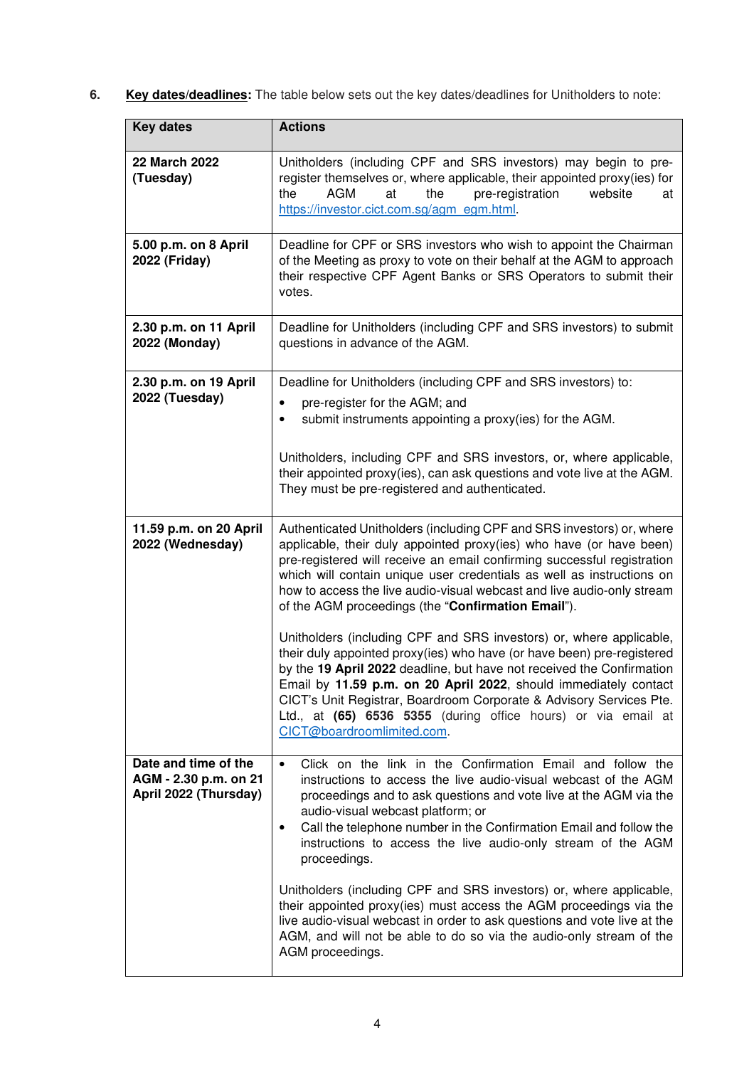**6. Key dates/deadlines:** The table below sets out the key dates/deadlines for Unitholders to note:

| <b>Key dates</b>                                                       | <b>Actions</b>                                                                                                                                                                                                                                                                                                                                                                                                                                                                                                                                                                                                                                                                                                                                                                                        |
|------------------------------------------------------------------------|-------------------------------------------------------------------------------------------------------------------------------------------------------------------------------------------------------------------------------------------------------------------------------------------------------------------------------------------------------------------------------------------------------------------------------------------------------------------------------------------------------------------------------------------------------------------------------------------------------------------------------------------------------------------------------------------------------------------------------------------------------------------------------------------------------|
| 22 March 2022<br>(Tuesday)                                             | Unitholders (including CPF and SRS investors) may begin to pre-<br>register themselves or, where applicable, their appointed proxy(ies) for<br><b>AGM</b><br>the<br>at<br>the<br>pre-registration<br>website<br>at<br>https://investor.cict.com.sg/agm_egm.html                                                                                                                                                                                                                                                                                                                                                                                                                                                                                                                                       |
| 5.00 p.m. on 8 April<br>2022 (Friday)                                  | Deadline for CPF or SRS investors who wish to appoint the Chairman<br>of the Meeting as proxy to vote on their behalf at the AGM to approach<br>their respective CPF Agent Banks or SRS Operators to submit their<br>votes.                                                                                                                                                                                                                                                                                                                                                                                                                                                                                                                                                                           |
| 2.30 p.m. on 11 April<br>2022 (Monday)                                 | Deadline for Unitholders (including CPF and SRS investors) to submit<br>questions in advance of the AGM.                                                                                                                                                                                                                                                                                                                                                                                                                                                                                                                                                                                                                                                                                              |
| 2.30 p.m. on 19 April<br>2022 (Tuesday)                                | Deadline for Unitholders (including CPF and SRS investors) to:<br>pre-register for the AGM; and<br>submit instruments appointing a proxy(ies) for the AGM.<br>$\bullet$<br>Unitholders, including CPF and SRS investors, or, where applicable,<br>their appointed proxy(ies), can ask questions and vote live at the AGM.<br>They must be pre-registered and authenticated.                                                                                                                                                                                                                                                                                                                                                                                                                           |
| 11.59 p.m. on 20 April<br>2022 (Wednesday)                             | Authenticated Unitholders (including CPF and SRS investors) or, where<br>applicable, their duly appointed proxy(ies) who have (or have been)<br>pre-registered will receive an email confirming successful registration<br>which will contain unique user credentials as well as instructions on<br>how to access the live audio-visual webcast and live audio-only stream<br>of the AGM proceedings (the "Confirmation Email").<br>Unitholders (including CPF and SRS investors) or, where applicable,<br>their duly appointed proxy(ies) who have (or have been) pre-registered<br>by the 19 April 2022 deadline, but have not received the Confirmation<br>Email by 11.59 p.m. on 20 April 2022, should immediately contact<br>CICT's Unit Registrar, Boardroom Corporate & Advisory Services Pte. |
|                                                                        | Ltd., at (65) 6536 5355 (during office hours) or via email at<br>CICT@boardroomlimited.com.                                                                                                                                                                                                                                                                                                                                                                                                                                                                                                                                                                                                                                                                                                           |
| Date and time of the<br>AGM - 2.30 p.m. on 21<br>April 2022 (Thursday) | Click on the link in the Confirmation Email and follow the<br>$\bullet$<br>instructions to access the live audio-visual webcast of the AGM<br>proceedings and to ask questions and vote live at the AGM via the<br>audio-visual webcast platform; or<br>Call the telephone number in the Confirmation Email and follow the<br>$\bullet$<br>instructions to access the live audio-only stream of the AGM<br>proceedings.<br>Unitholders (including CPF and SRS investors) or, where applicable,                                                                                                                                                                                                                                                                                                        |
|                                                                        | their appointed proxy(ies) must access the AGM proceedings via the<br>live audio-visual webcast in order to ask questions and vote live at the<br>AGM, and will not be able to do so via the audio-only stream of the<br>AGM proceedings.                                                                                                                                                                                                                                                                                                                                                                                                                                                                                                                                                             |